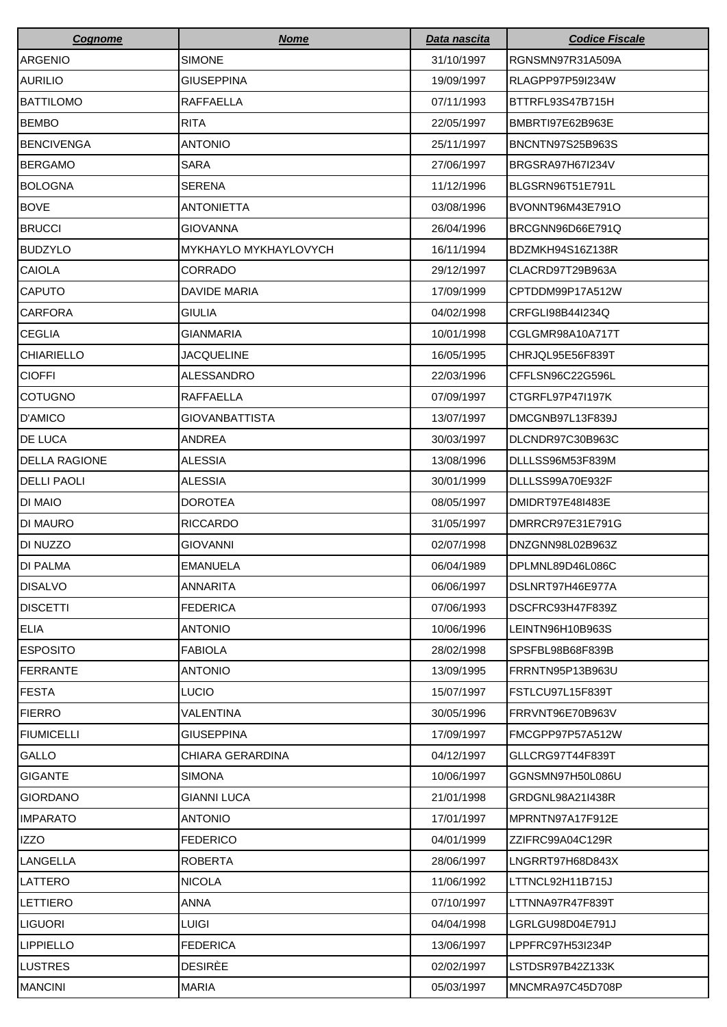| <b>Cognome</b>       | <b>Nome</b>                  | Data nascita | <b>Codice Fiscale</b> |
|----------------------|------------------------------|--------------|-----------------------|
| <b>ARGENIO</b>       | <b>SIMONE</b>                | 31/10/1997   | RGNSMN97R31A509A      |
| <b>AURILIO</b>       | <b>GIUSEPPINA</b>            | 19/09/1997   | RLAGPP97P59I234W      |
| <b>BATTILOMO</b>     | RAFFAELLA                    | 07/11/1993   | BTTRFL93S47B715H      |
| <b>BEMBO</b>         | <b>RITA</b>                  | 22/05/1997   | BMBRTI97E62B963E      |
| <b>BENCIVENGA</b>    | <b>ANTONIO</b>               | 25/11/1997   | BNCNTN97S25B963S      |
| <b>BERGAMO</b>       | <b>SARA</b>                  | 27/06/1997   | BRGSRA97H67I234V      |
| <b>BOLOGNA</b>       | <b>SERENA</b>                | 11/12/1996   | BLGSRN96T51E791L      |
| <b>BOVE</b>          | <b>ANTONIETTA</b>            | 03/08/1996   | BVONNT96M43E791O      |
| <b>BRUCCI</b>        | <b>GIOVANNA</b>              | 26/04/1996   | BRCGNN96D66E791Q      |
| <b>BUDZYLO</b>       | <b>MYKHAYLO MYKHAYLOVYCH</b> | 16/11/1994   | BDZMKH94S16Z138R      |
| <b>CAIOLA</b>        | CORRADO                      | 29/12/1997   | CLACRD97T29B963A      |
| <b>CAPUTO</b>        | DAVIDE MARIA                 | 17/09/1999   | CPTDDM99P17A512W      |
| <b>CARFORA</b>       | <b>GIULIA</b>                | 04/02/1998   | CRFGLI98B44I234Q      |
| <b>CEGLIA</b>        | <b>GIANMARIA</b>             | 10/01/1998   | CGLGMR98A10A717T      |
| <b>CHIARIELLO</b>    | <b>JACQUELINE</b>            | 16/05/1995   | CHRJQL95E56F839T      |
| <b>CIOFFI</b>        | ALESSANDRO                   | 22/03/1996   | CFFLSN96C22G596L      |
| <b>COTUGNO</b>       | RAFFAELLA                    | 07/09/1997   | CTGRFL97P47I197K      |
| D'AMICO              | <b>GIOVANBATTISTA</b>        | 13/07/1997   | DMCGNB97L13F839J      |
| <b>DE LUCA</b>       | ANDREA                       | 30/03/1997   | DLCNDR97C30B963C      |
| <b>DELLA RAGIONE</b> | <b>ALESSIA</b>               | 13/08/1996   | DLLLSS96M53F839M      |
| <b>DELLI PAOLI</b>   | <b>ALESSIA</b>               | 30/01/1999   | DLLLSS99A70E932F      |
| <b>DI MAIO</b>       | <b>DOROTEA</b>               | 08/05/1997   | DMIDRT97E48I483E      |
| <b>DI MAURO</b>      | <b>RICCARDO</b>              | 31/05/1997   | DMRRCR97E31E791G      |
| DI NUZZO             | <b>GIOVANNI</b>              | 02/07/1998   | DNZGNN98L02B963Z      |
| <b>DI PALMA</b>      | <b>EMANUELA</b>              | 06/04/1989   | DPLMNL89D46L086C      |
| <b>DISALVO</b>       | <b>ANNARITA</b>              | 06/06/1997   | DSLNRT97H46E977A      |
| <b>DISCETTI</b>      | <b>FEDERICA</b>              | 07/06/1993   | DSCFRC93H47F839Z      |
| ELIA                 | <b>ANTONIO</b>               | 10/06/1996   | LEINTN96H10B963S      |
| <b>ESPOSITO</b>      | <b>FABIOLA</b>               | 28/02/1998   | SPSFBL98B68F839B      |
| <b>FERRANTE</b>      | <b>ANTONIO</b>               | 13/09/1995   | FRRNTN95P13B963U      |
| <b>FESTA</b>         | <b>LUCIO</b>                 | 15/07/1997   | FSTLCU97L15F839T      |
| <b>FIERRO</b>        | <b>VALENTINA</b>             | 30/05/1996   | FRRVNT96E70B963V      |
| <b>FIUMICELLI</b>    | <b>GIUSEPPINA</b>            | 17/09/1997   | FMCGPP97P57A512W      |
| <b>GALLO</b>         | CHIARA GERARDINA             | 04/12/1997   | GLLCRG97T44F839T      |
| <b>GIGANTE</b>       | <b>SIMONA</b>                | 10/06/1997   | GGNSMN97H50L086U      |
| <b>GIORDANO</b>      | <b>GIANNI LUCA</b>           | 21/01/1998   | GRDGNL98A21I438R      |
| <b>IMPARATO</b>      | <b>ANTONIO</b>               | 17/01/1997   | MPRNTN97A17F912E      |
| <b>IZZO</b>          | <b>FEDERICO</b>              | 04/01/1999   | ZZIFRC99A04C129R      |
| <b>LANGELLA</b>      | <b>ROBERTA</b>               | 28/06/1997   | LNGRRT97H68D843X      |
| LATTERO              | <b>NICOLA</b>                | 11/06/1992   | LTTNCL92H11B715J      |
| LETTIERO             | ANNA                         | 07/10/1997   | LTTNNA97R47F839T      |
| <b>LIGUORI</b>       | LUIGI                        | 04/04/1998   | LGRLGU98D04E791J      |
| <b>LIPPIELLO</b>     | <b>FEDERICA</b>              | 13/06/1997   | LPPFRC97H53I234P      |
| LUSTRES              | <b>DESIRÈE</b>               | 02/02/1997   | LSTDSR97B42Z133K      |
| <b>MANCINI</b>       | <b>MARIA</b>                 | 05/03/1997   | MNCMRA97C45D708P      |